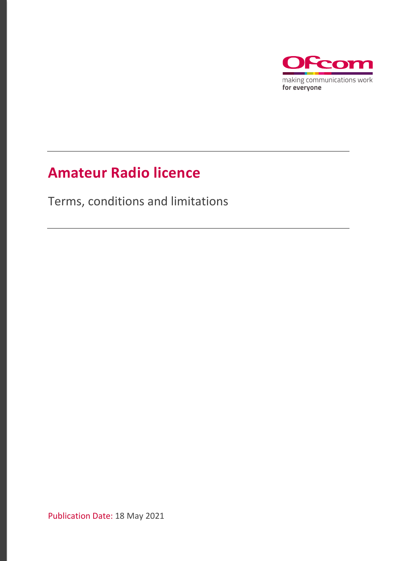

# **Amateur Radio licence**

Terms, conditions and limitations

Publication Date: 18 May 2021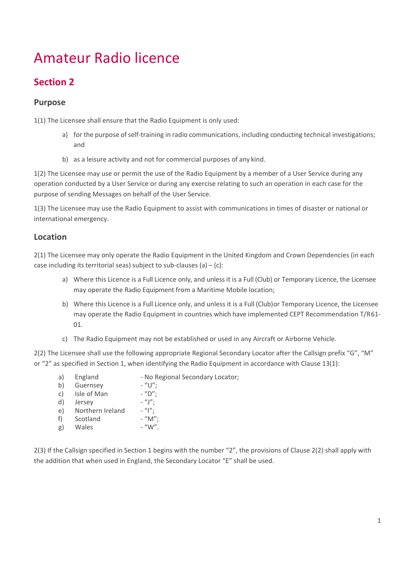# Amateur Radio licence

# **Section 2**

## **Purpose**

1(1) The Licensee shall ensure that the Radio Equipment is only used:

- a) for the purpose of self-training in radio communications, including conducting technical investigations; and
- b) as a leisure activity and not for commercial purposes of any kind.

1(2) The Licensee may use or permit the use of the Radio Equipment by a member of a User Service during any operation conducted by a User Service or during any exercise relating to such an operation in each case for the purpose of sending Messages on behalf of the User Service.

1(3) The Licensee may use the Radio Equipment to assist with communications in times of disaster or national or international emergency.

## **Location**

2(1) The Licensee may only operate the Radio Equipment in the United Kingdom and Crown Dependencies (in each case including its territorial seas) subject to sub-clauses  $(a) - (c)$ :

- a) Where this Licence is a Full Licence only, and unless it is a Full (Club) or Temporary Licence, the Licensee may operate the Radio Equipment from a Maritime Mobile location;
- b) Where this Licence is a Full Licence only, and unless it is a Full (Club)or Temporary Licence, the Licensee may operate the Radio Equipment in countries which have implemented CEPT Recommendation T/R61- 01.
- c) The Radio Equipment may not be established or used in any Aircraft or Airborne Vehicle.

2(2) The Licensee shall use the following appropriate Regional Secondary Locator after the Callsign prefix "G", "M" or "2" as specified in Section 1, when identifying the Radio Equipment in accordance with Clause 13(1):

| a) | England          | - No Regional Secondary Locator; |
|----|------------------|----------------------------------|
| b) | Guernsey         | – "U";                           |
| c) | Isle of Man      | $-$ "D";                         |
| d) | Jersey           | $-$ " $J"$ ;                     |
| e) | Northern Ireland | $-$ " $"$ ;                      |
| f) | Scotland         | $-$ "M";                         |
| g) | Wales            | $-$ "W".                         |
|    |                  |                                  |

2(3) If the Callsign specified in Section 1 begins with the number "2", the provisions of Clause 2(2) shall apply with the addition that when used in England, the Secondary Locator "E" shall be used.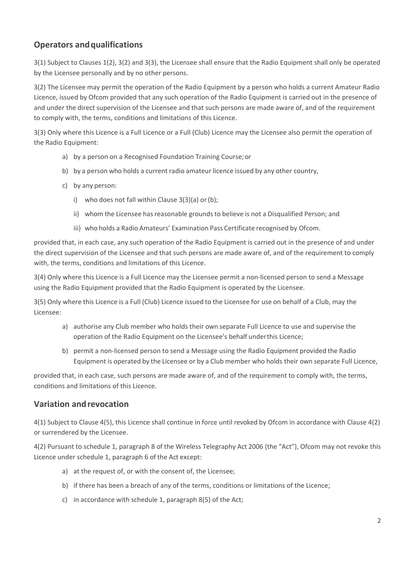# **Operators andqualifications**

3(1) Subject to Clauses 1(2), 3(2) and 3(3), the Licensee shall ensure that the Radio Equipment shall only be operated by the Licensee personally and by no other persons.

3(2) The Licensee may permit the operation of the Radio Equipment by a person who holds a current Amateur Radio Licence, issued by Ofcom provided that any such operation of the Radio Equipment is carried out in the presence of and under the direct supervision of the Licensee and that such persons are made aware of, and of the requirement to comply with, the terms, conditions and limitations of this Licence.

3(3) Only where this Licence is a Full Licence or a Full (Club) Licence may the Licensee also permit the operation of the Radio Equipment:

- a) by a person on a Recognised Foundation Training Course;or
- b) by a person who holds a current radio amateur licence issued by any other country,
- c) by any person:
	- i) who does not fall within Clause  $3(3)(a)$  or (b);
	- ii) whom the Licensee has reasonable grounds to believe is not a Disqualified Person; and
	- iii) who holds a Radio Amateurs' Examination Pass Certificate recognised by Ofcom.

provided that, in each case, any such operation of the Radio Equipment is carried out in the presence of and under the direct supervision of the Licensee and that such persons are made aware of, and of the requirement to comply with, the terms, conditions and limitations of this Licence.

3(4) Only where this Licence is a Full Licence may the Licensee permit a non-licensed person to send a Message using the Radio Equipment provided that the Radio Equipment is operated by the Licensee.

3(5) Only where this Licence is a Full (Club) Licence issued to the Licensee for use on behalf of a Club, may the Licensee:

- a) authorise any Club member who holds their own separate Full Licence to use and supervise the operation of the Radio Equipment on the Licensee's behalf underthis Licence;
- b) permit a non-licensed person to send a Message using the Radio Equipment provided the Radio Equipment is operated by the Licensee or by a Club member who holds their own separate Full Licence,

provided that, in each case, such persons are made aware of, and of the requirement to comply with, the terms, conditions and limitations of this Licence.

### **Variation andrevocation**

4(1) Subject to Clause 4(5), this Licence shall continue in force until revoked by Ofcom in accordance with Clause 4(2) or surrendered by the Licensee.

4(2) Pursuant to schedule 1, paragraph 8 of the Wireless Telegraphy Act 2006 (the "Act"), Ofcom may not revoke this Licence under schedule 1, paragraph 6 of the Act except:

- a) at the request of, or with the consent of, the Licensee;
- b) if there has been a breach of any of the terms, conditions or limitations of the Licence;
- c) in accordance with schedule 1, paragraph 8(5) of the Act;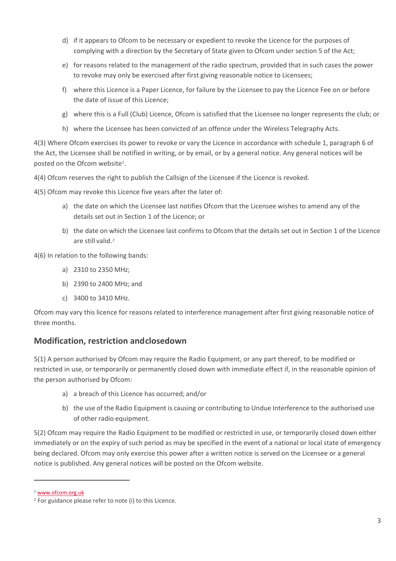- d) if it appears to Ofcom to be necessary or expedient to revoke the Licence for the purposes of complying with a direction by the Secretary of State given to Ofcom under section 5 of the Act;
- e) for reasons related to the management of the radio spectrum, provided that in such cases the power to revoke may only be exercised after first giving reasonable notice to Licensees;
- f) where this Licence is a Paper Licence, for failure by the Licensee to pay the Licence Fee on or before the date of issue of this Licence;
- g) where this is a Full (Club) Licence, Ofcom is satisfied that the Licensee no longer represents the club; or
- h) where the Licensee has been convicted of an offence under the Wireless Telegraphy Acts.

4(3) Where Ofcom exercises its power to revoke or vary the Licence in accordance with schedule 1, paragraph 6 of the Act, the Licensee shall be notified in writing, or by email, or by a general notice. Any general notices will be posted on the Ofcom website<sup>1</sup>.

4(4) Ofcom reserves the right to publish the Callsign of the Licensee if the Licence is revoked.

4(5) Ofcom may revoke this Licence five years after the later of:

- a) the date on which the Licensee last notifies Ofcom that the Licensee wishes to amend any of the details set out in Section 1 of the Licence; or
- b) the date on which the Licensee last confirms to Ofcom that the details set out in Section 1 of the Licence are still valid.<sup>[2](#page-3-1)</sup>

4(6) In relation to the following bands:

- a) 2310 to 2350 MHz;
- b) 2390 to 2400 MHz; and
- c) 3400 to 3410 MHz.

Ofcom may vary this licence for reasons related to interference management after first giving reasonable notice of three months.

### **Modification, restriction andclosedown**

5(1) A person authorised by Ofcom may require the Radio Equipment, or any part thereof, to be modified or restricted in use, or temporarily or permanently closed down with immediate effect if, in the reasonable opinion of the person authorised by Ofcom:

- a) a breach of this Licence has occurred; and/or
- b) the use of the Radio Equipment is causing or contributing to Undue Interference to the authorised use of other radio equipment.

5(2) Ofcom may require the Radio Equipment to be modified or restricted in use, or temporarily closed down either immediately or on the expiry of such period as may be specified in the event of a national or local state of emergency being declared. Ofcom may only exercise this power after a written notice is served on the Licensee or a general notice is published. Any general notices will be posted on the Ofcom website.

<span id="page-3-0"></span><sup>1</sup> [www.ofcom.org.uk](http://www.ofcom.org.uk/)

<span id="page-3-1"></span><sup>2</sup> For guidance please refer to note (i) to this Licence.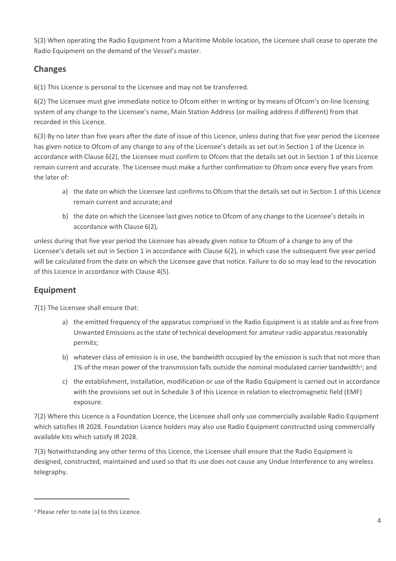5(3) When operating the Radio Equipment from a Maritime Mobile location, the Licensee shall cease to operate the Radio Equipment on the demand of the Vessel's master.

# **Changes**

6(1) This Licence is personal to the Licensee and may not be transferred.

6(2) The Licensee must give immediate notice to Ofcom either in writing or by means of Ofcom's on-line licensing system of any change to the Licensee's name, Main Station Address (or mailing address if different) from that recorded in this Licence.

6(3) By no later than five years after the date of issue of this Licence, unless during that five year period the Licensee has given notice to Ofcom of any change to any of the Licensee's details as set out in Section 1 of the Licence in accordance with Clause 6(2), the Licensee must confirm to Ofcom that the details set out in Section 1 of this Licence remain current and accurate. The Licensee must make a further confirmation to Ofcom once every five years from the later of:

- a) the date on which the Licensee last confirmsto Ofcom that the details set out in Section 1 of this Licence remain current and accurate;and
- b) the date on which the Licensee last gives notice to Ofcom of any change to the Licensee's details in accordance with Clause 6(2),

unless during that five year period the Licensee has already given notice to Ofcom of a change to any of the Licensee's details set out in Section 1 in accordance with Clause 6(2), in which case the subsequent five year period will be calculated from the date on which the Licensee gave that notice. Failure to do so may lead to the revocation of this Licence in accordance with Clause 4(5).

# **Equipment**

7(1) The Licensee shall ensure that:

- a) the emitted frequency of the apparatus comprised in the Radio Equipment is as stable and asfree from Unwanted Emissions asthe state of technical development for amateur radio apparatus reasonably permits;
- b) whatever class of emission is in use, the bandwidth occupied by the emission is such that not more than 1% of the mean power of the transmission falls outside the nominal modulated carrier bandwidth<sup>3</sup>; and
- c) the establishment, installation, modification or use of the Radio Equipment is carried out in accordance with the provisions set out in Schedule 3 of this Licence in relation to electromagnetic field (EMF) exposure.

7(2) Where this Licence is a Foundation Licence, the Licensee shall only use commercially available Radio Equipment which satisfies IR 2028. Foundation Licence holders may also use Radio Equipment constructed using commercially available kits which satisfy IR 2028.

7(3) Notwithstanding any other terms of this Licence, the Licensee shall ensure that the Radio Equipment is designed, constructed, maintained and used so that its use does not cause any Undue Interference to any wireless telegraphy.

<span id="page-4-0"></span><sup>&</sup>lt;sup>3</sup> Please refer to note (a) to this Licence.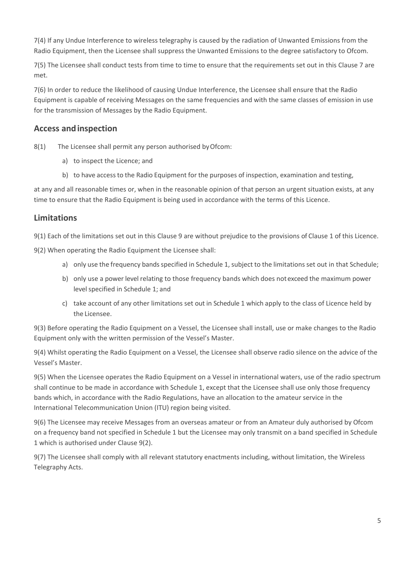7(4) If any Undue Interference to wireless telegraphy is caused by the radiation of Unwanted Emissions from the Radio Equipment, then the Licensee shall suppress the Unwanted Emissions to the degree satisfactory to Ofcom.

7(5) The Licensee shall conduct tests from time to time to ensure that the requirements set out in this Clause 7 are met.

7(6) In order to reduce the likelihood of causing Undue Interference, the Licensee shall ensure that the Radio Equipment is capable of receiving Messages on the same frequencies and with the same classes of emission in use for the transmission of Messages by the Radio Equipment.

### **Access andinspection**

8(1) The Licensee shall permit any person authorised by Ofcom:

- a) to inspect the Licence; and
- b) to have accessto the Radio Equipment for the purposes of inspection, examination and testing,

at any and all reasonable times or, when in the reasonable opinion of that person an urgent situation exists, at any time to ensure that the Radio Equipment is being used in accordance with the terms of this Licence.

## **Limitations**

9(1) Each of the limitations set out in this Clause 9 are without prejudice to the provisions of Clause 1 of this Licence.

9(2) When operating the Radio Equipment the Licensee shall:

- a) only use the frequency bands specified in Schedule 1, subject to the limitations set out in that Schedule;
- b) only use a power level relating to those frequency bands which does notexceed the maximum power level specified in Schedule 1; and
- c) take account of any other limitations set out in Schedule 1 which apply to the class of Licence held by the Licensee.

9(3) Before operating the Radio Equipment on a Vessel, the Licensee shall install, use or make changes to the Radio Equipment only with the written permission of the Vessel's Master.

9(4) Whilst operating the Radio Equipment on a Vessel, the Licensee shall observe radio silence on the advice of the Vessel's Master.

9(5) When the Licensee operates the Radio Equipment on a Vessel in international waters, use of the radio spectrum shall continue to be made in accordance with Schedule 1, except that the Licensee shall use only those frequency bands which, in accordance with the Radio Regulations, have an allocation to the amateur service in the International Telecommunication Union (ITU) region being visited.

9(6) The Licensee may receive Messages from an overseas amateur or from an Amateur duly authorised by Ofcom on a frequency band not specified in Schedule 1 but the Licensee may only transmit on a band specified in Schedule 1 which is authorised under Clause 9(2).

9(7) The Licensee shall comply with all relevant statutory enactments including, without limitation, the Wireless Telegraphy Acts.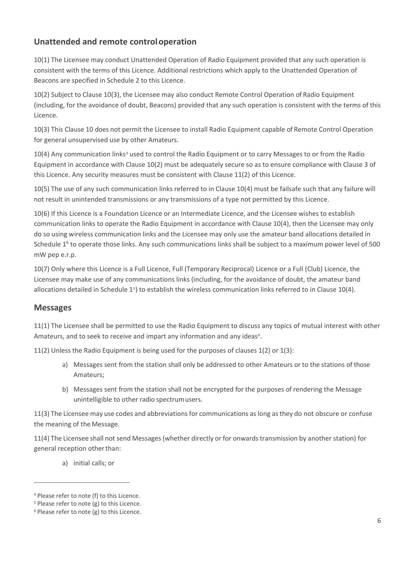## **Unattended and remote control operation**

10(1) The Licensee may conduct Unattended Operation of Radio Equipment provided that any such operation is consistent with the terms of this Licence. Additional restrictions which apply to the Unattended Operation of Beacons are specified in Schedule 2 to this Licence.

10(2) Subject to Clause 10(3), the Licensee may also conduct Remote Control Operation of Radio Equipment (including, for the avoidance of doubt, Beacons) provided that any such operation is consistent with the terms of this Licence.

10(3) This Clause 10 does not permit the Licensee to install Radio Equipment capable of Remote Control Operation for general unsupervised use by other Amateurs.

10([4](#page-6-0)) Any communication links<sup>4</sup> used to control the Radio Equipment or to carry Messages to or from the Radio Equipment in accordance with Clause 10(2) must be adequately secure so as to ensure compliance with Clause 3 of this Licence. Any security measures must be consistent with Clause 11(2) of this Licence.

10(5) The use of any such communication links referred to in Clause 10(4) must be failsafe such that any failure will not result in unintended transmissions or any transmissions of a type not permitted by this Licence.

10(6) If this Licence is a Foundation Licence or an Intermediate Licence, and the Licensee wishes to establish communication links to operate the Radio Equipment in accordance with Clause 10(4), then the Licensee may only do so using wireless communication links and the Licensee may only use the amateur band allocations detailed in Schedule 1<sup>6</sup> to operate those links. Any such communications links shall be subject to a maximum power level of 500 mW pep e.r.p.

10(7) Only where this Licence is a Full Licence, Full (Temporary Reciprocal) Licence or a Full (Club) Licence, the Licensee may make use of any communications links (including, for the avoidance of doubt, the amateur band allocations detailed in Schedule 1[5\)](#page-6-1) to establish the wireless communication links referred to in Clause 10(4).

### **Messages**

11(1) The Licensee shall be permitted to use the Radio Equipment to discuss any topics of mutual interest with other Amateurs, and to seek to receive and impart any information and any ideas<sup>[6](#page-6-2)</sup>.

11(2) Unless the Radio Equipment is being used for the purposes of clauses 1(2) or 1(3):

- a) Messages sent from the station shall only be addressed to other Amateurs or to the stations of those Amateurs;
- b) Messages sent from the station shall not be encrypted for the purposes of rendering the Message unintelligible to other radio spectrumusers.

11(3) The Licensee may use codes and abbreviationsfor communications as long asthey do not obscure or confuse the meaning of the Message.

11(4) The Licensee shall not send Messages (whether directly or for onwards transmission by another station) for general reception other than:

a) initial calls; or

<span id="page-6-0"></span><sup>4</sup> Please refer to note (f) to this Licence.

<span id="page-6-1"></span><sup>&</sup>lt;sup>5</sup> Please refer to note (g) to this Licence.

<span id="page-6-2"></span><sup>&</sup>lt;sup>6</sup> Please refer to note (g) to this Licence.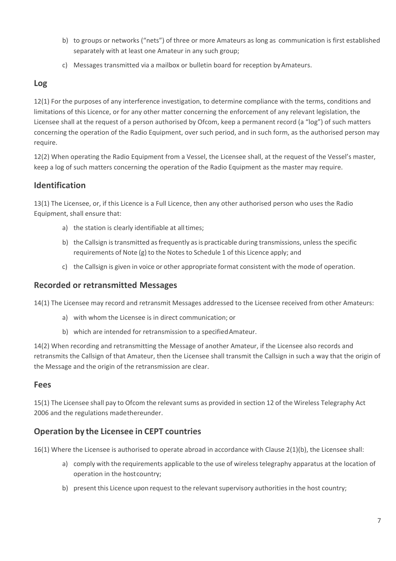- b) to groups or networks ("nets") of three or more Amateurs as long as communication is first established separately with at least one Amateur in any such group;
- c) Messages transmitted via a mailbox or bulletin board for reception by Amateurs.

## **Log**

12(1) For the purposes of any interference investigation, to determine compliance with the terms, conditions and limitations of this Licence, or for any other matter concerning the enforcement of any relevant legislation, the Licensee shall at the request of a person authorised by Ofcom, keep a permanent record (a "log") of such matters concerning the operation of the Radio Equipment, over such period, and in such form, as the authorised person may require.

12(2) When operating the Radio Equipment from a Vessel, the Licensee shall, at the request of the Vessel's master, keep a log of such matters concerning the operation of the Radio Equipment as the master may require.

# **Identification**

13(1) The Licensee, or, if this Licence is a Full Licence, then any other authorised person who uses the Radio Equipment, shall ensure that:

- a) the station is clearly identifiable at all times;
- b) the Callsign is transmitted as frequently as is practicable during transmissions, unless the specific requirements of Note (g) to the Notes to Schedule 1 of this Licence apply; and
- c) the Callsign is given in voice or other appropriate format consistent with the mode of operation.

### **Recorded or retransmitted Messages**

14(1) The Licensee may record and retransmit Messages addressed to the Licensee received from other Amateurs:

- a) with whom the Licensee is in direct communication; or
- b) which are intended for retransmission to a specifiedAmateur.

14(2) When recording and retransmitting the Message of another Amateur, if the Licensee also records and retransmits the Callsign of that Amateur, then the Licensee shall transmit the Callsign in such a way that the origin of the Message and the origin of the retransmission are clear.

### **Fees**

15(1) The Licensee shall pay to Ofcom the relevant sums as provided in section 12 of the Wireless Telegraphy Act 2006 and the regulations madethereunder.

### **Operation by the Licensee in CEPT countries**

16(1) Where the Licensee is authorised to operate abroad in accordance with Clause 2(1)(b), the Licensee shall:

- a) comply with the requirements applicable to the use of wireless telegraphy apparatus at the location of operation in the hostcountry;
- b) present this Licence upon request to the relevant supervisory authorities in the host country;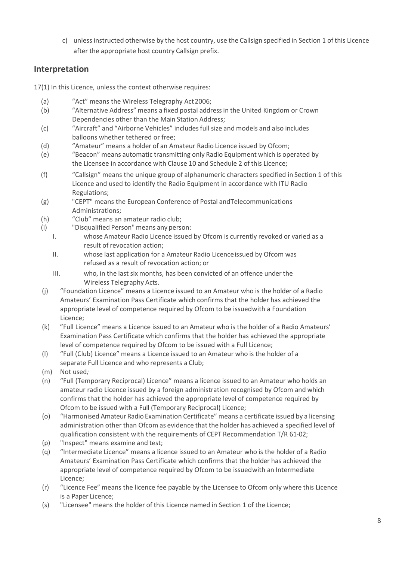c) unless instructed otherwise by the host country, use the Callsign specified in Section 1 of this Licence after the appropriate host country Callsign prefix.

## **Interpretation**

17(1) In this Licence, unless the context otherwise requires:

- (a) "Act" means the Wireless Telegraphy Act2006;
- (b) "Alternative Address" means a fixed postal addressin the United Kingdom or Crown Dependencies other than the Main Station Address;
- (c) "Aircraft" and "Airborne Vehicles" includesfull size and models and also includes balloons whether tethered or free;
- (d) "Amateur" means a holder of an Amateur Radio Licence issued by Ofcom;
- (e) "Beacon" means automatic transmitting only Radio Equipment which is operated by the Licensee in accordance with Clause 10 and Schedule 2 of this Licence;
- (f) "Callsign" means the unique group of alphanumeric characters specified in Section 1 of this Licence and used to identify the Radio Equipment in accordance with ITU Radio Regulations;
- (g) "CEPT" means the European Conference of Postal andTelecommunications Administrations;
- (h) "Club" means an amateur radio club:
- (i) "Disqualified Person" means any person:
	- I. whose Amateur Radio Licence issued by Ofcom is currently revoked or varied as a result of revocation action;
	- II. whose last application for a Amateur Radio Licenceissued by Ofcom was refused as a result of revocation action; or
	- III. who, in the last six months, has been convicted of an offence under the Wireless Telegraphy Acts.
- (j) "Foundation Licence" means a Licence issued to an Amateur who is the holder of a Radio Amateurs' Examination Pass Certificate which confirms that the holder has achieved the appropriate level of competence required by Ofcom to be issuedwith a Foundation Licence;
- (k) "Full Licence" means a Licence issued to an Amateur who is the holder of a Radio Amateurs' Examination Pass Certificate which confirms that the holder has achieved the appropriate level of competence required by Ofcom to be issued with a Full Licence;
- (l) "Full (Club) Licence" means a Licence issued to an Amateur who is the holder of a separate Full Licence and who represents a Club;
- (m) Not used*;*
- (n) "Full (Temporary Reciprocal) Licence" means a licence issued to an Amateur who holds an amateur radio Licence issued by a foreign administration recognised by Ofcom and which confirms that the holder has achieved the appropriate level of competence required by Ofcom to be issued with a Full (Temporary Reciprocal) Licence;
- (o) "Harmonised Amateur Radio Examination Certificate" means a certificate issued by a licensing administration other than Ofcom as evidence that the holder has achieved a specified level of qualification consistent with the requirements of CEPT Recommendation T/R 61-02;
- (p) "Inspect" means examine and test;
- (q) "Intermediate Licence" means a licence issued to an Amateur who is the holder of a Radio Amateurs' Examination Pass Certificate which confirms that the holder has achieved the appropriate level of competence required by Ofcom to be issuedwith an Intermediate Licence;
- (r) "Licence Fee" means the licence fee payable by the Licensee to Ofcom only where this Licence is a Paper Licence;
- (s) "Licensee" means the holder of this Licence named in Section 1 of the Licence;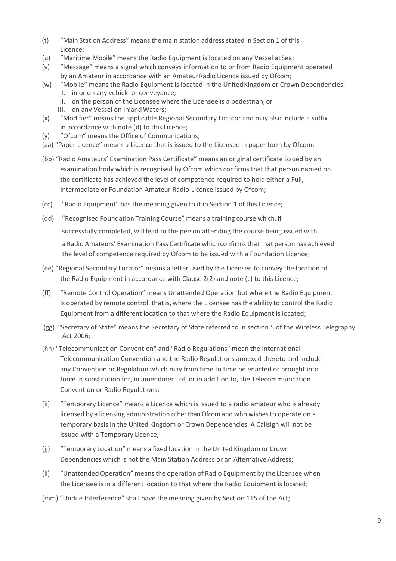- (t) "Main Station Address" means the main station addressstated in Section 1 of this Licence;
- (u) "Maritime Mobile" means the Radio Equipment is located on any Vessel atSea;
- (v) "Message" means a signal which conveys information to or from Radio Equipment operated by an Amateur in accordance with an Amateur Radio Licence issued by Ofcom;
- (w) "Mobile" means the Radio Equipment is located in the UnitedKingdom or Crown Dependencies: I. in or on any vehicle or conveyance;
	- II. on the person of the Licensee where the Licensee is a pedestrian; or
	- III. on any Vessel on InlandWaters;
- (x) "Modifier" means the applicable Regional Secondary Locator and may also include a suffix in accordance with note (d) to this Licence;
- (y) "Ofcom" means the Office of Communications;
- (aa) "Paper Licence" means a Licence that is issued to the Licensee in paper form by Ofcom;
- (bb) "Radio Amateurs' Examination Pass Certificate" means an original certificate issued by an examination body which is recognised by Ofcom which confirms that that person named on the certificate has achieved the level of competence required to hold either a Full, Intermediate or Foundation Amateur Radio Licence issued by Ofcom;
- (cc) "Radio Equipment" has the meaning given to it in Section 1 of this Licence;
- (dd) "Recognised Foundation Training Course" means a training course which, if successfully completed, will lead to the person attending the course being issued with a Radio Amateurs' Examination Pass Certificate which confirms that that person has achieved the level of competence required by Ofcom to be issued with a Foundation Licence;
- (ee) "Regional Secondary Locator" means a letter used by the Licensee to convey the location of the Radio Equipment in accordance with Clause 2(2) and note (c) to this Licence;
- (ff) "Remote Control Operation" means Unattended Operation but where the Radio Equipment is operated by remote control, that is, where the Licensee hasthe ability to control the Radio Equipment from a different location to that where the Radio Equipment is located;
- (gg) "Secretary of State" means the Secretary of State referred to in section 5 of the Wireless Telegraphy Act 2006;
- (hh) "Telecommunication Convention" and "Radio Regulations" mean the International Telecommunication Convention and the Radio Regulations annexed thereto and include any Convention or Regulation which may from time to time be enacted or brought into force in substitution for, in amendment of, or in addition to, the Telecommunication Convention or Radio Regulations;
- (ii) "Temporary Licence" means a Licence which is issued to a radio amateur who is already licensed by a licensing administration other than Ofcom and who wishes to operate on a temporary basis in the United Kingdom or Crown Dependencies. A Callsign will not be issued with a Temporary Licence;
- (jj) "Temporary Location" means a fixed location in the United Kingdom or Crown Dependencies which is not the Main Station Address or an Alternative Address;
- (ll) "Unattended Operation" meansthe operation of Radio Equipment by the Licensee when the Licensee is in a different location to that where the Radio Equipment is located;
- (mm) "Undue Interference" shall have the meaning given by Section 115 of the Act;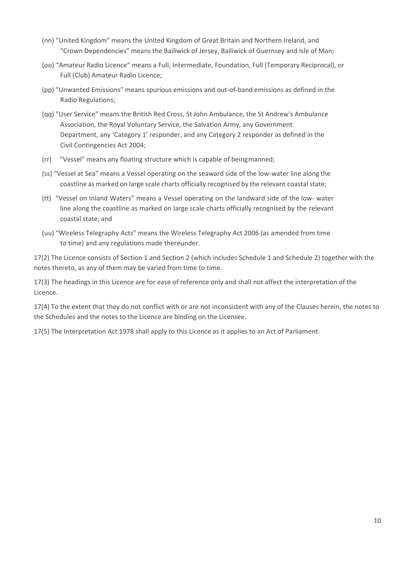- (nn) "United Kingdom" means the United Kingdom of Great Britain and Northern Ireland, and "Crown Dependencies" means the Bailiwick of Jersey, Bailiwick of Guernsey and Isle of Man;
- (oo) "Amateur Radio Licence" means a Full, Intermediate, Foundation, Full (Temporary Reciprocal), or Full (Club) Amateur Radio Licence;
- (pp) "Unwanted Emissions" means spurious emissions and out-of-band emissions as defined in the Radio Regulations;
- (qq) "User Service" means the British Red Cross, St John Ambulance, the St Andrew's Ambulance Association, the Royal Voluntary Service, the Salvation Army, any Government Department, any 'Category 1' responder, and any Category 2 responder as defined in the Civil Contingencies Act 2004;
- (rr) "Vessel" means any floating structure which is capable of beingmanned;
- (ss) "Vessel at Sea" means a Vessel operating on the seaward side of the low-water line along the coastline as marked on large scale charts officially recognised by the relevant coastal state;
- (tt) "Vessel on Inland Waters" means a Vessel operating on the landward side of the low- water line along the coastline as marked on large scale charts officially recognised by the relevant coastal state; and
- (uu) "Wireless Telegraphy Acts" means the Wireless Telegraphy Act 2006 (as amended from time to time) and any regulations made thereunder.

17(2) The Licence consists of Section 1 and Section 2 (which includes Schedule 1 and Schedule 2) together with the notes thereto, as any of them may be varied from time to time.

17(3) The headings in this Licence are for ease of reference only and shall not affect the interpretation of the Licence.

17(4) To the extent that they do not conflict with or are not inconsistent with any of the Clauses herein, the notes to the Schedules and the notes to the Licence are binding on the Licensee.

17(5) The Interpretation Act 1978 shall apply to this Licence as it applies to an Act of Parliament.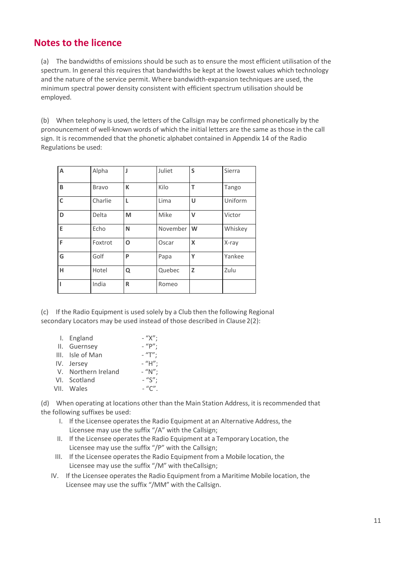# **Notes to the licence**

(a) The bandwidths of emissions should be such as to ensure the most efficient utilisation of the spectrum. In general this requires that bandwidths be kept at the lowest values which technology and the nature of the service permit. Where bandwidth-expansion techniques are used, the minimum spectral power density consistent with efficient spectrum utilisation should be employed.

(b) When telephony is used, the letters of the Callsign may be confirmed phonetically by the pronouncement of well-known words of which the initial letters are the same as those in the call sign. It is recommended that the phonetic alphabet contained in Appendix 14 of the Radio Regulations be used:

| A | Alpha        | J | Juliet   | S            | Sierra  |
|---|--------------|---|----------|--------------|---------|
| B | <b>Bravo</b> | K | Kilo     | T            | Tango   |
| C | Charlie      | L | Lima     | U            | Uniform |
| D | Delta        | M | Mike     | $\mathsf{V}$ | Victor  |
| E | Echo         | N | November | W            | Whiskey |
| F | Foxtrot      | O | Oscar    | X            | X-ray   |
| G | Golf         | P | Papa     | Y            | Yankee  |
| н | Hotel        | Q | Quebec   | Z            | Zulu    |
|   | India        | R | Romeo    |              |         |

(c) If the Radio Equipment is used solely by a Club then the following Regional secondary Locators may be used instead of those described in Clause 2(2):

| I. England          | - "X":   |
|---------------------|----------|
| II. Guernsey        | $-$ "P"; |
| III. Isle of Man    | - "T":   |
| IV. Jersey          | $-$ "H"; |
| V. Northern Ireland | - "N":   |
| VI. Scotland        | - "S";   |
| VII. Wales          | $-$ "C". |
|                     |          |

(d) When operating at locations other than the Main Station Address, it isrecommended that the following suffixes be used:

- I. If the Licensee operates the Radio Equipment at an Alternative Address, the Licensee may use the suffix "/A" with the Callsign;
- II. If the Licensee operates the Radio Equipment at a Temporary Location, the Licensee may use the suffix "/P" with the Callsign;
- III. If the Licensee operates the Radio Equipment from a Mobile location, the Licensee may use the suffix "/M" with theCallsign;
- IV. If the Licensee operates the Radio Equipment from a Maritime Mobile location, the Licensee may use the suffix "/MM" with the Callsign.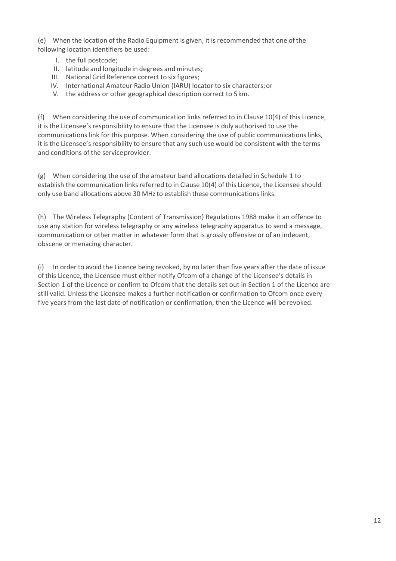(e) When the location of the Radio Equipment is given, it is recommended that one of the following location identifiers be used:

- I. the full postcode;
- II. latitude and longitude in degrees and minutes;
- III. National Grid Reference correct to six figures;
- IV. International Amateur Radio Union (IARU) locator to six characters;or
- V. the address or other geographical description correct to 5km.

(f) When considering the use of communication links referred to in Clause 10(4) of this Licence, it is the Licensee's responsibility to ensure that the Licensee is duly authorised to use the communications link for this purpose. When considering the use of public communications links, it is the Licensee's responsibility to ensure that any such use would be consistent with the terms and conditions of the service provider.

(g) When considering the use of the amateur band allocations detailed in Schedule 1 to establish the communication links referred to in Clause 10(4) of this Licence, the Licensee should only use band allocations above 30 MHz to establish these communications links.

(h) The Wireless Telegraphy (Content of Transmission) Regulations 1988 make it an offence to use any station for wireless telegraphy or any wireless telegraphy apparatus to send a message, communication or other matter in whatever form that is grossly offensive or of an indecent, obscene or menacing character.

(i) In order to avoid the Licence being revoked, by no later than five years after the date of issue of this Licence, the Licensee must either notify Ofcom of a change of the Licensee's details in Section 1 of the Licence or confirm to Ofcom that the details set out in Section 1 of the Licence are still valid. Unless the Licensee makes a further notification or confirmation to Ofcom once every five years from the last date of notification or confirmation, then the Licence will be revoked.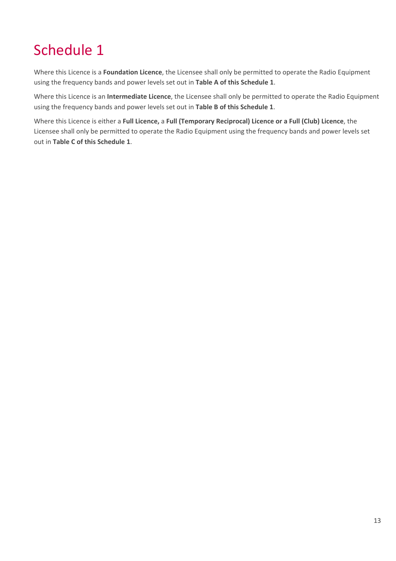# Schedule 1

Where this Licence is a **Foundation Licence**, the Licensee shall only be permitted to operate the Radio Equipment using the frequency bands and power levels set out in **Table A of this Schedule 1**.

Where this Licence is an **Intermediate Licence**, the Licensee shall only be permitted to operate the Radio Equipment using the frequency bands and power levels set out in **Table B of this Schedule 1**.

Where this Licence is either a **Full Licence,** a **Full (Temporary Reciprocal) Licence or a Full (Club) Licence**, the Licensee shall only be permitted to operate the Radio Equipment using the frequency bands and power levels set out in **Table C of this Schedule 1**.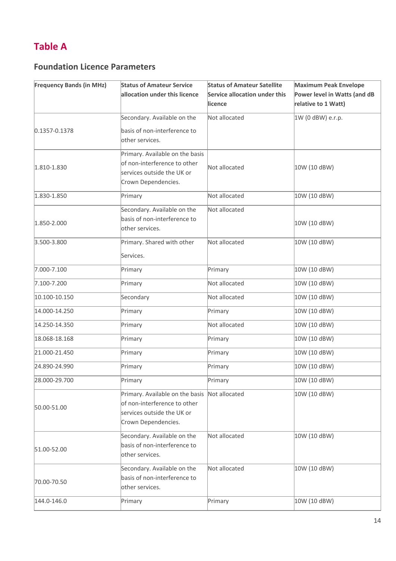# **Table A**

# **Foundation Licence Parameters**

| <b>Frequency Bands (in MHz)</b> | <b>Status of Amateur Service</b> | <b>Status of Amateur Satellite</b> | <b>Maximum Peak Envelope</b> |
|---------------------------------|----------------------------------|------------------------------------|------------------------------|
|                                 | allocation under this licence    | Service allocation under this      | Power level in Watts (and dB |
|                                 |                                  | licence                            | relative to 1 Watt)          |
|                                 | Secondary. Available on the      | Not allocated                      | 1W (0 dBW) e.r.p.            |
| $0.1357 - 0.1378$               | basis of non-interference to     |                                    |                              |
|                                 | lother services.                 |                                    |                              |
|                                 | Primary. Available on the basis  |                                    |                              |
| 1.810-1.830                     | of non-interference to other     | Not allocated                      | 10W (10 dBW)                 |
|                                 | services outside the UK or       |                                    |                              |
|                                 | Crown Dependencies.              |                                    |                              |
| 1.830-1.850                     | Primary                          | Not allocated                      | 10W (10 dBW)                 |
|                                 | Secondary. Available on the      | Not allocated                      |                              |
| 1.850-2.000                     | basis of non-interference to     |                                    | 10W (10 dBW)                 |
|                                 | other services.                  |                                    |                              |
| 3.500-3.800                     | Primary. Shared with other       | Not allocated                      | 10W (10 dBW)                 |
|                                 | Services.                        |                                    |                              |
| 7.000-7.100                     | Primary                          | Primary                            | 10W (10 dBW)                 |
| 7.100-7.200                     | Primary                          | Not allocated                      | 10W (10 dBW)                 |
| 10.100-10.150                   | Secondary                        | Not allocated                      | 10W (10 dBW)                 |
| 14.000-14.250                   | Primary                          | Primary                            | 10W (10 dBW)                 |
| 14.250-14.350                   | Primary                          | Not allocated                      | 10W (10 dBW)                 |
| 18.068-18.168                   | Primary                          | Primary                            | 10W (10 dBW)                 |
| 21.000-21.450                   | Primary                          | Primary                            | 10W (10 dBW)                 |
| 24.890-24.990                   | Primary                          | Primary                            | 10W (10 dBW)                 |
| 28.000-29.700                   | Primary                          | Primary                            | 10W (10 dBW)                 |
|                                 | Primary. Available on the basis  | Not allocated                      | 10W (10 dBW)                 |
| 50.00-51.00                     | of non-interference to other     |                                    |                              |
|                                 | services outside the UK or       |                                    |                              |
|                                 | Crown Dependencies.              |                                    |                              |
|                                 | Secondary. Available on the      | Not allocated                      | 10W (10 dBW)                 |
| 51.00-52.00                     | basis of non-interference to     |                                    |                              |
|                                 | other services.                  |                                    |                              |
|                                 | Secondary. Available on the      | Not allocated                      | 10W (10 dBW)                 |
| 70.00-70.50                     | basis of non-interference to     |                                    |                              |
|                                 | other services.                  |                                    |                              |
| 144.0-146.0                     | Primary                          | Primary                            | 10W (10 dBW)                 |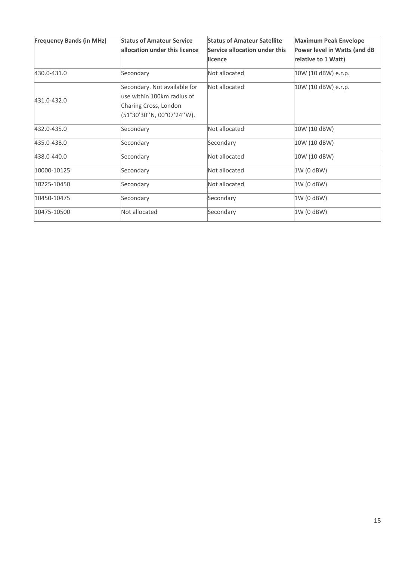| <b>Frequency Bands (in MHz)</b> | <b>Status of Amateur Service</b><br>allocation under this licence                                                  | <b>Status of Amateur Satellite</b><br>Service allocation under this<br>llicence | <b>Maximum Peak Envelope</b><br>Power level in Watts (and dB<br>relative to 1 Watt) |
|---------------------------------|--------------------------------------------------------------------------------------------------------------------|---------------------------------------------------------------------------------|-------------------------------------------------------------------------------------|
| 430.0-431.0                     | Secondary                                                                                                          | Not allocated                                                                   | 10W (10 dBW) e.r.p.                                                                 |
| 431.0-432.0                     | Secondary. Not available for<br>use within 100km radius of<br>Charing Cross, London<br>(51°30'30''N, 00°07'24''W). | Not allocated                                                                   | 10W (10 dBW) e.r.p.                                                                 |
| 432.0-435.0                     | Secondary                                                                                                          | Not allocated                                                                   | 10W (10 dBW)                                                                        |
| 435.0-438.0                     | Secondary                                                                                                          | Secondary                                                                       | 10W (10 dBW)                                                                        |
| 438.0-440.0                     | Secondary                                                                                                          | Not allocated                                                                   | 10W (10 dBW)                                                                        |
| 10000-10125                     | Secondary                                                                                                          | Not allocated                                                                   | 1W(0dBW)                                                                            |
| 10225-10450                     | Secondary                                                                                                          | Not allocated                                                                   | 1W (0 dBW)                                                                          |
| 10450-10475                     | Secondary                                                                                                          | Secondary                                                                       | 1W (0 dBW)                                                                          |
| 10475-10500                     | Not allocated                                                                                                      | Secondary                                                                       | 1W (0 dBW)                                                                          |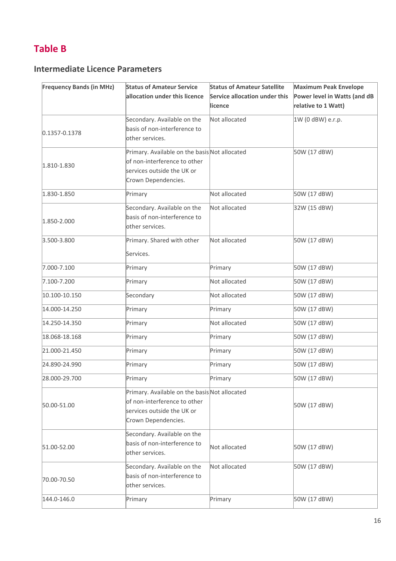# **Table B**

# **Intermediate Licence Parameters**

| <b>Frequency Bands (in MHz)</b> | <b>Status of Amateur Service</b>              | <b>Status of Amateur Satellite</b> | <b>Maximum Peak Envelope</b> |  |
|---------------------------------|-----------------------------------------------|------------------------------------|------------------------------|--|
|                                 | allocation under this licence                 | Service allocation under this      | Power level in Watts (and dB |  |
|                                 |                                               | licence                            | relative to 1 Watt)          |  |
|                                 | Secondary. Available on the                   | Not allocated                      | 1W (0 dBW) e.r.p.            |  |
|                                 | basis of non-interference to                  |                                    |                              |  |
| $0.1357 - 0.1378$               | other services.                               |                                    |                              |  |
|                                 | Primary. Available on the basis Not allocated |                                    | 50W (17 dBW)                 |  |
|                                 | of non-interference to other                  |                                    |                              |  |
| 1.810-1.830                     | services outside the UK or                    |                                    |                              |  |
|                                 | Crown Dependencies.                           |                                    |                              |  |
| 1.830-1.850                     | Primary                                       | Not allocated                      | 50W (17 dBW)                 |  |
|                                 | Secondary. Available on the                   | Not allocated                      | 32W (15 dBW)                 |  |
| 1.850-2.000                     | basis of non-interference to                  |                                    |                              |  |
|                                 | other services.                               |                                    |                              |  |
| 3.500-3.800                     | Primary. Shared with other                    | Not allocated                      | 50W (17 dBW)                 |  |
|                                 | Services.                                     |                                    |                              |  |
| 7.000-7.100                     | Primary                                       | Primary                            | 50W (17 dBW)                 |  |
| 7.100-7.200                     | Primary                                       | Not allocated                      | 50W (17 dBW)                 |  |
| 10.100-10.150                   | Secondary                                     | Not allocated                      | 50W (17 dBW)                 |  |
| 14.000-14.250                   | Primary                                       | Primary                            | 50W (17 dBW)                 |  |
| 14.250-14.350                   | Primary                                       | Not allocated                      | 50W (17 dBW)                 |  |
| 18.068-18.168                   | Primary                                       | Primary                            | 50W (17 dBW)                 |  |
| 21.000-21.450                   | Primary                                       | Primary                            | 50W (17 dBW)                 |  |
| 24.890-24.990                   | Primary                                       | Primary                            | 50W (17 dBW)                 |  |
| 28.000-29.700                   | Primary                                       | Primary                            | 50W (17 dBW)                 |  |
|                                 | Primary. Available on the basis Not allocated |                                    |                              |  |
| 50.00-51.00                     | of non-interference to other                  |                                    | 50W (17 dBW)                 |  |
|                                 | services outside the UK or                    |                                    |                              |  |
|                                 | Crown Dependencies.                           |                                    |                              |  |
|                                 | Secondary. Available on the                   |                                    |                              |  |
| 51.00-52.00                     | basis of non-interference to                  | Not allocated                      | 50W (17 dBW)                 |  |
|                                 | other services.                               |                                    |                              |  |
|                                 | Secondary. Available on the                   | Not allocated                      | 50W (17 dBW)                 |  |
| 70.00-70.50                     | basis of non-interference to                  |                                    |                              |  |
|                                 | other services.                               |                                    |                              |  |
| 144.0-146.0                     | Primary                                       | Primary                            | 50W (17 dBW)                 |  |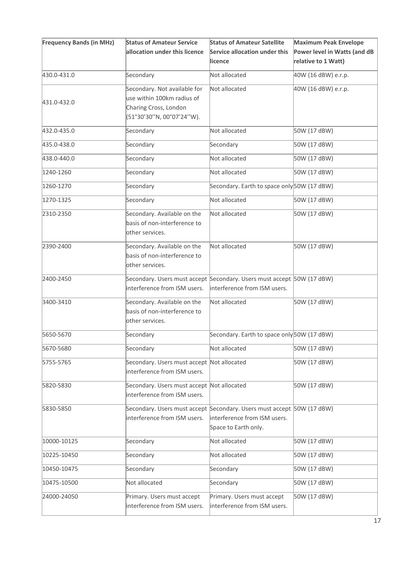| <b>Frequency Bands (in MHz)</b> | <b>Status of Amateur Service</b><br>allocation under this licence                                                  | <b>Status of Amateur Satellite</b><br>Service allocation under this<br>licence                                                 | <b>Maximum Peak Envelope</b><br>Power level in Watts (and dB<br>relative to 1 Watt) |
|---------------------------------|--------------------------------------------------------------------------------------------------------------------|--------------------------------------------------------------------------------------------------------------------------------|-------------------------------------------------------------------------------------|
| 430.0-431.0                     | Secondary                                                                                                          | Not allocated                                                                                                                  | 40W (16 dBW) e.r.p.                                                                 |
| 431.0-432.0                     | Secondary. Not available for<br>use within 100km radius of<br>Charing Cross, London<br>(51°30'30''N, 00°07'24''W). | Not allocated                                                                                                                  | 40W (16 dBW) e.r.p.                                                                 |
| 432.0-435.0                     | Secondary                                                                                                          | Not allocated                                                                                                                  | 50W (17 dBW)                                                                        |
| 435.0-438.0                     | Secondary                                                                                                          | Secondary                                                                                                                      | 50W (17 dBW)                                                                        |
| 438.0-440.0                     | Secondary                                                                                                          | Not allocated                                                                                                                  | 50W (17 dBW)                                                                        |
| 1240-1260                       | Secondary                                                                                                          | Not allocated                                                                                                                  | 50W (17 dBW)                                                                        |
| 1260-1270                       | Secondary                                                                                                          | Secondary. Earth to space only 50W (17 dBW)                                                                                    |                                                                                     |
| 1270-1325                       | Secondary                                                                                                          | Not allocated                                                                                                                  | 50W (17 dBW)                                                                        |
| 2310-2350                       | Secondary. Available on the<br>basis of non-interference to<br>other services.                                     | Not allocated                                                                                                                  | 50W (17 dBW)                                                                        |
| 2390-2400                       | Secondary. Available on the<br>basis of non-interference to<br>other services.                                     | Not allocated                                                                                                                  | 50W (17 dBW)                                                                        |
| 2400-2450                       | interference from ISM users.                                                                                       | Secondary. Users must accept Secondary. Users must accept 50W (17 dBW)<br>interference from ISM users.                         |                                                                                     |
| 3400-3410                       | Secondary. Available on the<br>basis of non-interference to<br>other services.                                     | Not allocated                                                                                                                  | 50W (17 dBW)                                                                        |
| 5650-5670                       | Secondary                                                                                                          | Secondary. Earth to space only 50W (17 dBW)                                                                                    |                                                                                     |
| 5670-5680                       | Secondary                                                                                                          | Not allocated                                                                                                                  | 50W (17 dBW)                                                                        |
| 5755-5765                       | Secondary. Users must accept Not allocated<br>interference from ISM users.                                         |                                                                                                                                | 50W (17 dBW)                                                                        |
| 5820-5830                       | Secondary. Users must accept Not allocated<br>interference from ISM users.                                         |                                                                                                                                | 50W (17 dBW)                                                                        |
| 5830-5850                       | interference from ISM users.                                                                                       | Secondary. Users must accept Secondary. Users must accept 50W (17 dBW)<br>interference from ISM users.<br>Space to Earth only. |                                                                                     |
| 10000-10125                     | Secondary                                                                                                          | Not allocated                                                                                                                  | 50W (17 dBW)                                                                        |
| 10225-10450                     | Secondary                                                                                                          | Not allocated                                                                                                                  | 50W (17 dBW)                                                                        |
| 10450-10475                     | Secondary                                                                                                          | Secondary                                                                                                                      | 50W (17 dBW)                                                                        |
| 10475-10500                     | Not allocated                                                                                                      | Secondary                                                                                                                      | 50W (17 dBW)                                                                        |
| 24000-24050                     | Primary. Users must accept<br>interference from ISM users.                                                         | Primary. Users must accept<br>interference from ISM users.                                                                     | 50W (17 dBW)                                                                        |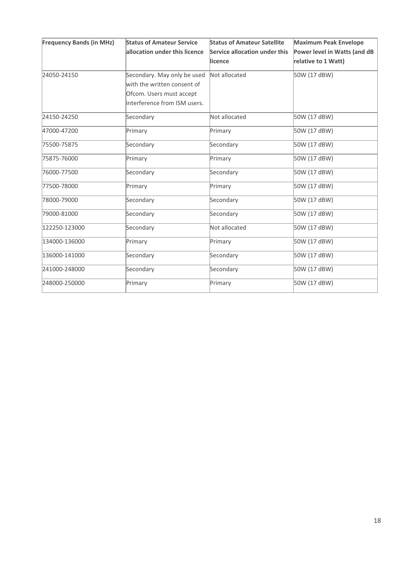| <b>Frequency Bands (in MHz)</b> | <b>Status of Amateur Service</b><br>allocation under this licence                                                      | <b>Status of Amateur Satellite</b><br>Service allocation under this<br>llicence | <b>Maximum Peak Envelope</b><br>Power level in Watts (and dB<br>relative to 1 Watt) |
|---------------------------------|------------------------------------------------------------------------------------------------------------------------|---------------------------------------------------------------------------------|-------------------------------------------------------------------------------------|
| 24050-24150                     | Secondary. May only be used<br>with the written consent of<br>Ofcom. Users must accept<br>interference from ISM users. | Not allocated                                                                   | 50W (17 dBW)                                                                        |
| 24150-24250                     | Secondary                                                                                                              | Not allocated                                                                   | 50W (17 dBW)                                                                        |
| 47000-47200                     | Primary                                                                                                                | Primary                                                                         | 50W (17 dBW)                                                                        |
| 75500-75875                     | Secondary                                                                                                              | Secondary                                                                       | 50W (17 dBW)                                                                        |
| 75875-76000                     | Primary                                                                                                                | Primary                                                                         | 50W (17 dBW)                                                                        |
| 76000-77500                     | Secondary                                                                                                              | Secondary                                                                       | 50W (17 dBW)                                                                        |
| 77500-78000                     | Primary                                                                                                                | Primary                                                                         | 50W (17 dBW)                                                                        |
| 78000-79000                     | Secondary                                                                                                              | Secondary                                                                       | 50W (17 dBW)                                                                        |
| 79000-81000                     | Secondary                                                                                                              | Secondary                                                                       | 50W (17 dBW)                                                                        |
| 122250-123000                   | Secondary                                                                                                              | Not allocated                                                                   | 50W (17 dBW)                                                                        |
| 134000-136000                   | Primary                                                                                                                | Primary                                                                         | 50W (17 dBW)                                                                        |
| 136000-141000                   | Secondary                                                                                                              | Secondary                                                                       | 50W (17 dBW)                                                                        |
| 241000-248000                   | Secondary                                                                                                              | Secondary                                                                       | 50W (17 dBW)                                                                        |
| 248000-250000                   | Primary                                                                                                                | Primary                                                                         | 50W (17 dBW)                                                                        |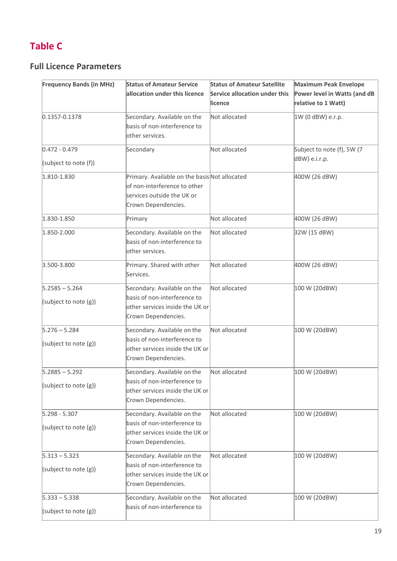# **Table C**

## **Full Licence Parameters**

| <b>Frequency Bands (in MHz)</b>              | <b>Status of Amateur Service</b><br>allocation under this licence                                                                           | <b>Status of Amateur Satellite</b><br>Service allocation under this<br>licence | <b>Maximum Peak Envelope</b><br>Power level in Watts (and dB<br>relative to 1 Watt) |
|----------------------------------------------|---------------------------------------------------------------------------------------------------------------------------------------------|--------------------------------------------------------------------------------|-------------------------------------------------------------------------------------|
| $0.1357 - 0.1378$                            | Secondary. Available on the<br>basis of non-interference to<br>other services.                                                              | Not allocated                                                                  | 1W (0 dBW) e.r.p.                                                                   |
| $0.472 - 0.479$                              | Secondary                                                                                                                                   | Not allocated                                                                  | Subject to note (f), 5W (7                                                          |
| (subject to note (f))                        |                                                                                                                                             |                                                                                | dBW) e.i.r.p.                                                                       |
| 1.810-1.830                                  | Primary. Available on the basis Not allocated<br>of non-interference to other<br>services outside the UK or<br>Crown Dependencies.          |                                                                                | 400W (26 dBW)                                                                       |
| 1.830-1.850                                  | Primary                                                                                                                                     | Not allocated                                                                  | 400W (26 dBW)                                                                       |
| 1.850-2.000                                  | Secondary. Available on the<br>basis of non-interference to<br>other services.                                                              | Not allocated                                                                  | 32W (15 dBW)                                                                        |
| 3.500-3.800                                  | Primary. Shared with other<br>Services.                                                                                                     | Not allocated                                                                  | 400W (26 dBW)                                                                       |
| $5.2585 - 5.264$<br>(subject to note $(g)$ ) | Secondary. Available on the<br>basis of non-interference to<br>other services inside the UK or<br>Crown Dependencies.                       | Not allocated                                                                  | 100 W (20dBW)                                                                       |
| $5.276 - 5.284$<br>(subject to note (g))     | Secondary. Available on the<br>basis of non-interference to<br>other services inside the UK or<br>Crown Dependencies.                       | Not allocated                                                                  | 100 W (20dBW)                                                                       |
| $5.2885 - 5.292$<br>(subject to note $(g)$ ) | Secondary. Available on the<br>basis of non-interference to<br>other services inside the UK or<br>Crown Dependencies.                       | Not allocated                                                                  | 100 W (20dBW)                                                                       |
| $5.298 - 5.307$<br>(subject to note (g))     | Secondary. Available on the<br>basis of non-interference to<br>$\overline{\mathrm{other}}$ services inside the UK or<br>Crown Dependencies. | Not allocated                                                                  | 100 W (20dBW)                                                                       |
| $5.313 - 5.323$<br>(subject to note (g))     | Secondary. Available on the<br>basis of non-interference to<br>other services inside the UK or<br>Crown Dependencies.                       | Not allocated                                                                  | 100 W (20dBW)                                                                       |
| $5.333 - 5.338$<br>(subject to note (g))     | Secondary. Available on the<br>basis of non-interference to                                                                                 | Not allocated                                                                  | 100 W (20dBW)                                                                       |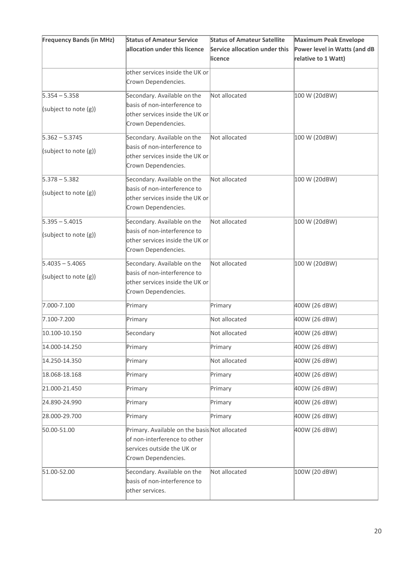| <b>Frequency Bands (in MHz)</b>               | <b>Status of Amateur Service</b><br>allocation under this licence                                                                  | <b>Status of Amateur Satellite</b><br>Service allocation under this<br>licence | <b>Maximum Peak Envelope</b><br>Power level in Watts (and dB<br>relative to 1 Watt) |
|-----------------------------------------------|------------------------------------------------------------------------------------------------------------------------------------|--------------------------------------------------------------------------------|-------------------------------------------------------------------------------------|
|                                               | other services inside the UK or<br>Crown Dependencies.                                                                             |                                                                                |                                                                                     |
| $5.354 - 5.358$<br>(subject to note $(g)$ )   | Secondary. Available on the<br>basis of non-interference to<br>other services inside the UK or<br>Crown Dependencies.              | Not allocated                                                                  | 100 W (20dBW)                                                                       |
| $5.362 - 5.3745$<br>(subject to note $(g)$ )  | Secondary. Available on the<br>basis of non-interference to<br>other services inside the UK or<br>Crown Dependencies.              | Not allocated                                                                  | 100 W (20dBW)                                                                       |
| $5.378 - 5.382$<br>(subject to note $(g)$ )   | Secondary. Available on the<br>basis of non-interference to<br>other services inside the UK or<br>Crown Dependencies.              | Not allocated                                                                  | 100 W (20dBW)                                                                       |
| $5.395 - 5.4015$<br>(subject to note $(g)$ )  | Secondary. Available on the<br>basis of non-interference to<br>other services inside the UK or<br>Crown Dependencies.              | Not allocated                                                                  | 100 W (20dBW)                                                                       |
| $5.4035 - 5.4065$<br>(subject to note $(g)$ ) | Secondary. Available on the<br>basis of non-interference to<br>other services inside the UK or<br>Crown Dependencies.              | Not allocated                                                                  | 100 W (20dBW)                                                                       |
| 7.000-7.100                                   | Primary                                                                                                                            | Primary                                                                        | 400W (26 dBW)                                                                       |
| 7.100-7.200                                   | Primary                                                                                                                            | Not allocated                                                                  | 400W (26 dBW)                                                                       |
| 10.100-10.150                                 | Secondary                                                                                                                          | Not allocated                                                                  | 400W (26 dBW)                                                                       |
| 14.000-14.250                                 | Primary                                                                                                                            | Primary                                                                        | 400W (26 dBW)                                                                       |
| 14.250-14.350                                 | Primary                                                                                                                            | Not allocated                                                                  | 400W (26 dBW)                                                                       |
| 18.068-18.168                                 | Primary                                                                                                                            | Primary                                                                        | 400W (26 dBW)                                                                       |
| 21.000-21.450                                 | Primary                                                                                                                            | Primary                                                                        | 400W (26 dBW)                                                                       |
| 24.890-24.990                                 | Primary                                                                                                                            | Primary                                                                        | 400W (26 dBW)                                                                       |
| 28.000-29.700                                 | Primary                                                                                                                            | Primary                                                                        | 400W (26 dBW)                                                                       |
| 50.00-51.00                                   | Primary. Available on the basis Not allocated<br>of non-interference to other<br>services outside the UK or<br>Crown Dependencies. |                                                                                | 400W (26 dBW)                                                                       |
| 51.00-52.00                                   | Secondary. Available on the<br>basis of non-interference to<br>other services.                                                     | Not allocated                                                                  | 100W (20 dBW)                                                                       |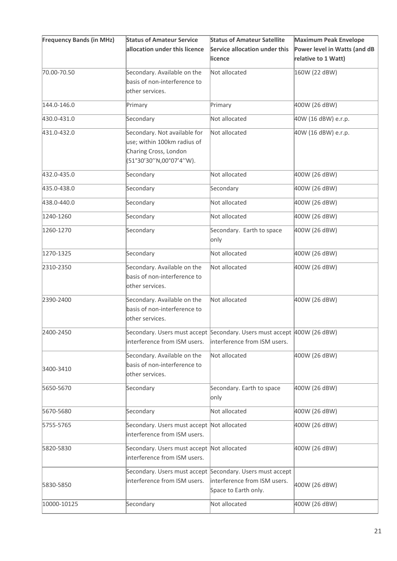| <b>Frequency Bands (in MHz)</b> | <b>Status of Amateur Service</b><br>allocation under this licence                                                | <b>Status of Amateur Satellite</b><br>Service allocation under this<br>licence                                    | <b>Maximum Peak Envelope</b><br>Power level in Watts (and dB<br>relative to 1 Watt) |
|---------------------------------|------------------------------------------------------------------------------------------------------------------|-------------------------------------------------------------------------------------------------------------------|-------------------------------------------------------------------------------------|
| 70.00-70.50                     | Secondary. Available on the<br>basis of non-interference to<br>other services.                                   | Not allocated                                                                                                     | 160W (22 dBW)                                                                       |
| 144.0-146.0                     | Primary                                                                                                          | Primary                                                                                                           | 400W (26 dBW)                                                                       |
| 430.0-431.0                     | Secondary                                                                                                        | Not allocated                                                                                                     | 40W (16 dBW) e.r.p.                                                                 |
| 431.0-432.0                     | Secondary. Not available for<br>use; within 100km radius of<br>Charing Cross, London<br>(51°30'30''N,00°07'4"W). | Not allocated                                                                                                     | 40W (16 dBW) e.r.p.                                                                 |
| 432.0-435.0                     | Secondary                                                                                                        | Not allocated                                                                                                     | 400W (26 dBW)                                                                       |
| 435.0-438.0                     | Secondary                                                                                                        | Secondary                                                                                                         | 400W (26 dBW)                                                                       |
| 438.0-440.0                     | Secondary                                                                                                        | Not allocated                                                                                                     | 400W (26 dBW)                                                                       |
| 1240-1260                       | Secondary                                                                                                        | Not allocated                                                                                                     | 400W (26 dBW)                                                                       |
| 1260-1270                       | Secondary                                                                                                        | Secondary. Earth to space<br>only                                                                                 | 400W (26 dBW)                                                                       |
| 1270-1325                       | Secondary                                                                                                        | Not allocated                                                                                                     | 400W (26 dBW)                                                                       |
| 2310-2350                       | Secondary. Available on the<br>basis of non-interference to<br>other services.                                   | Not allocated                                                                                                     | 400W (26 dBW)                                                                       |
| 2390-2400                       | Secondary. Available on the<br>basis of non-interference to<br>other services.                                   | Not allocated                                                                                                     | 400W (26 dBW)                                                                       |
| 2400-2450                       | interference from ISM users.                                                                                     | Secondary. Users must accept Secondary. Users must accept 400W (26 dBW)<br>interference from ISM users.           |                                                                                     |
| 3400-3410                       | Secondary. Available on the<br>basis of non-interference to<br>other services.                                   | Not allocated                                                                                                     | 400W (26 dBW)                                                                       |
| 5650-5670                       | Secondary                                                                                                        | Secondary. Earth to space<br>only                                                                                 | 400W (26 dBW)                                                                       |
| 5670-5680                       | Secondary                                                                                                        | Not allocated                                                                                                     | 400W (26 dBW)                                                                       |
| 5755-5765                       | Secondary. Users must accept Not allocated<br>interference from ISM users.                                       |                                                                                                                   | 400W (26 dBW)                                                                       |
| 5820-5830                       | Secondary. Users must accept Not allocated<br>interference from ISM users.                                       |                                                                                                                   | 400W (26 dBW)                                                                       |
| 5830-5850                       | interference from ISM users.                                                                                     | Secondary. Users must accept Secondary. Users must accept<br>interference from ISM users.<br>Space to Earth only. | 400W (26 dBW)                                                                       |
| 10000-10125                     | Secondary                                                                                                        | Not allocated                                                                                                     | 400W (26 dBW)                                                                       |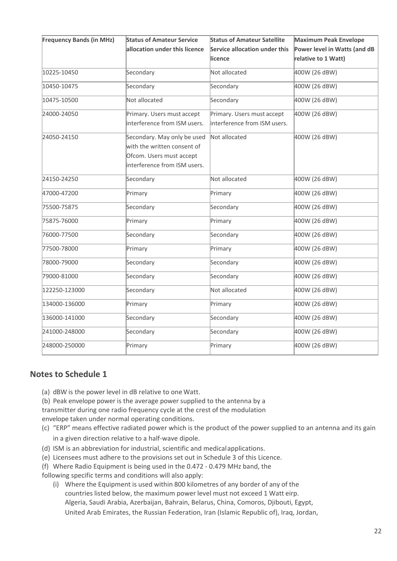| <b>Frequency Bands (in MHz)</b> | <b>Status of Amateur Service</b> | <b>Status of Amateur Satellite</b> | <b>Maximum Peak Envelope</b> |
|---------------------------------|----------------------------------|------------------------------------|------------------------------|
|                                 | allocation under this licence    | Service allocation under this      | Power level in Watts (and dB |
|                                 |                                  | llicence                           | relative to 1 Watt)          |
| 10225-10450                     | Secondary                        | Not allocated                      | 400W (26 dBW)                |
| 10450-10475                     | Secondary                        | Secondary                          | 400W (26 dBW)                |
| 10475-10500                     | Not allocated                    | Secondary                          | 400W (26 dBW)                |
| 24000-24050                     | Primary. Users must accept       | Primary. Users must accept         | 400W (26 dBW)                |
|                                 | interference from ISM users.     | interference from ISM users.       |                              |
| 24050-24150                     | Secondary. May only be used      | Not allocated                      | 400W (26 dBW)                |
|                                 | with the written consent of      |                                    |                              |
|                                 | Ofcom. Users must accept         |                                    |                              |
|                                 | interference from ISM users.     |                                    |                              |
| 24150-24250                     | Secondary                        | Not allocated                      | 400W (26 dBW)                |
| 47000-47200                     | Primary                          | Primary                            | 400W (26 dBW)                |
| 75500-75875                     | Secondary                        | Secondary                          | 400W (26 dBW)                |
| 75875-76000                     | Primary                          | Primary                            | 400W (26 dBW)                |
| 76000-77500                     | Secondary                        | Secondary                          | 400W (26 dBW)                |
| 77500-78000                     | Primary                          | Primary                            | 400W (26 dBW)                |
| 78000-79000                     | Secondary                        | Secondary                          | 400W (26 dBW)                |
| 79000-81000                     | Secondary                        | Secondary                          | 400W (26 dBW)                |
| 122250-123000                   | Secondary                        | Not allocated                      | 400W (26 dBW)                |
| 134000-136000                   | Primary                          | Primary                            | 400W (26 dBW)                |
| 136000-141000                   | Secondary                        | Secondary                          | 400W (26 dBW)                |
| 241000-248000                   | Secondary                        | Secondary                          | 400W (26 dBW)                |
| 248000-250000                   | Primary                          | Primary                            | 400W (26 dBW)                |

### **Notes to Schedule 1**

(a) dBW is the power level in dB relative to one Watt.

(b) Peak envelope power is the average power supplied to the antenna by a transmitter during one radio frequency cycle at the crest of the modulation envelope taken under normal operating conditions.

- (c) "ERP" means effective radiated power which is the product of the power supplied to an antenna and its gain in a given direction relative to a half-wave dipole.
- (d) ISM is an abbreviation for industrial, scientific and medicalapplications.
- (e) Licensees must adhere to the provisions set out in Schedule 3 of this Licence.
- (f) Where Radio Equipment is being used in the 0.472 0.479 MHz band, the

following specific terms and conditions will also apply:

(i) Where the Equipment is used within 800 kilometres of any border of any of the countries listed below, the maximum power level must not exceed 1 Watt eirp. Algeria, Saudi Arabia, Azerbaijan, Bahrain, Belarus, China, Comoros, Djibouti, Egypt, United Arab Emirates, the Russian Federation, Iran (Islamic Republic of), Iraq, Jordan,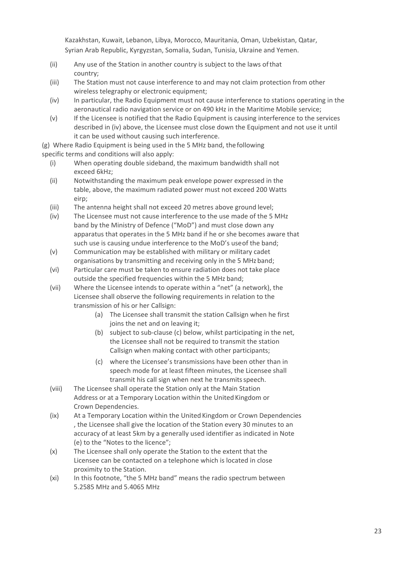Kazakhstan, Kuwait, Lebanon, Libya, Morocco, Mauritania, Oman, Uzbekistan, Qatar, Syrian Arab Republic, Kyrgyzstan, Somalia, Sudan, Tunisia, Ukraine and Yemen.

- (ii) Any use of the Station in another country is subject to the laws ofthat country;
- (iii) The Station must not cause interference to and may not claim protection from other wireless telegraphy or electronic equipment;
- (iv) In particular, the Radio Equipment must not cause interference to stations operating in the aeronautical radio navigation service or on 490 kHz in the Maritime Mobile service;
- (v) If the Licensee is notified that the Radio Equipment is causing interference to the services described in (iv) above, the Licensee must close down the Equipment and not use it until it can be used without causing such interference.

(g) Where Radio Equipment is being used in the 5 MHz band, thefollowing specific terms and conditions will also apply:

- (i) When operating double sideband, the maximum bandwidth shall not exceed 6kHz;
- (ii) Notwithstanding the maximum peak envelope power expressed in the table, above, the maximum radiated power must not exceed 200 Watts eirp;
- (iii) The antenna height shall not exceed 20 metres above ground level;
- (iv) The Licensee must not cause interference to the use made of the 5 MHz band by the Ministry of Defence ("MoD") and must close down any apparatus that operates in the 5 MHz band if he or she becomes aware that such use is causing undue interference to the MoD's useof the band;
- (v) Communication may be established with military or military cadet organisations by transmitting and receiving only in the 5 MHzband;
- (vi) Particular care must be taken to ensure radiation does not take place outside the specified frequencies within the 5 MHz band;
- (vii) Where the Licensee intends to operate within a "net" (a network), the Licensee shall observe the following requirements in relation to the transmission of his or her Callsign:
	- (a) The Licensee shall transmit the station Callsign when he first joins the net and on leaving it;
	- (b) subject to sub-clause (c) below, whilst participating in the net, the Licensee shall not be required to transmit the station Callsign when making contact with other participants;
	- (c) where the Licensee's transmissions have been other than in speech mode for at least fifteen minutes, the Licensee shall transmit his call sign when next he transmits speech.
- (viii) The Licensee shall operate the Station only at the Main Station Address or at a Temporary Location within the United Kingdom or Crown Dependencies.
- (ix) At a Temporary Location within the United Kingdom or Crown Dependencies , the Licensee shall give the location of the Station every 30 minutes to an accuracy of at least 5km by a generally used identifier as indicated in Note (e) to the "Notes to the licence";
- (x) The Licensee shall only operate the Station to the extent that the Licensee can be contacted on a telephone which is located in close proximity to the Station.
- (xi) In this footnote, "the 5 MHz band" means the radio spectrum between 5.2585 MHz and 5.4065 MHz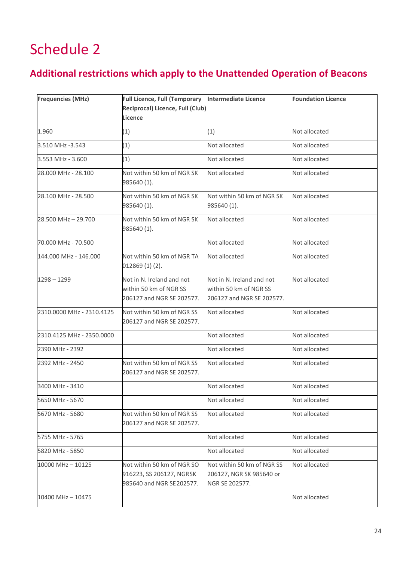# Schedule 2

# **Additional restrictions which apply to the Unattended Operation of Beacons**

| <b>Frequencies (MHz)</b>  | <b>Full Licence, Full (Temporary</b><br>Reciprocal) Licence, Full (Club)<br>Licence | <b>Intermediate Licence</b>                                                      | <b>Foundation Licence</b> |
|---------------------------|-------------------------------------------------------------------------------------|----------------------------------------------------------------------------------|---------------------------|
| 1.960                     | (1)                                                                                 | (1)                                                                              | Not allocated             |
| 3.510 MHz -3.543          | (1)                                                                                 | Not allocated                                                                    | Not allocated             |
| 3.553 MHz - 3.600         | (1)                                                                                 | Not allocated                                                                    | Not allocated             |
| 28.000 MHz - 28.100       | Not within 50 km of NGR SK<br>985640 (1).                                           | Not allocated                                                                    | Not allocated             |
| 28.100 MHz - 28.500       | Not within 50 km of NGR SK<br>985640 (1).                                           | Not within 50 km of NGR SK<br>985640 (1).                                        | Not allocated             |
| 28.500 MHz - 29.700       | Not within 50 km of NGR SK<br>985640 (1).                                           | Not allocated                                                                    | Not allocated             |
| 70.000 MHz - 70.500       |                                                                                     | Not allocated                                                                    | Not allocated             |
| 144.000 MHz - 146.000     | Not within 50 km of NGR TA<br>$012869(1)(2)$ .                                      | Not allocated                                                                    | Not allocated             |
| $1298 - 1299$             | Not in N. Ireland and not<br>within 50 km of NGR SS<br>206127 and NGR SE 202577.    | Not in N. Ireland and not<br>within 50 km of NGR SS<br>206127 and NGR SE 202577. | Not allocated             |
| 2310.0000 MHz - 2310.4125 | Not within 50 km of NGR SS<br>206127 and NGR SE 202577.                             | Not allocated                                                                    | Not allocated             |
| 2310.4125 MHz - 2350.0000 |                                                                                     | Not allocated                                                                    | Not allocated             |
| 2390 MHz - 2392           |                                                                                     | Not allocated                                                                    | Not allocated             |
| 2392 MHz - 2450           | Not within 50 km of NGR SS<br>206127 and NGR SE 202577.                             | Not allocated                                                                    | Not allocated             |
| 3400 MHz - 3410           |                                                                                     | Not allocated                                                                    | Not allocated             |
| 5650 MHz - 5670           |                                                                                     | Not allocated                                                                    | Not allocated             |
| 5670 MHz - 5680           | Not within 50 km of NGR SS<br>206127 and NGR SE 202577.                             | Not allocated                                                                    | Not allocated             |
| 5755 MHz - 5765           |                                                                                     | Not allocated                                                                    | Not allocated             |
| 5820 MHz - 5850           |                                                                                     | Not allocated                                                                    | Not allocated             |
| 10000 MHz - 10125         | Not within 50 km of NGR SO<br>916223, SS 206127, NGRSK<br>985640 and NGR SE 202577. | Not within 50 km of NGR SS<br>206127, NGR SK 985640 or<br>NGR SE 202577.         | Not allocated             |
| 10400 MHz - 10475         |                                                                                     |                                                                                  | Not allocated             |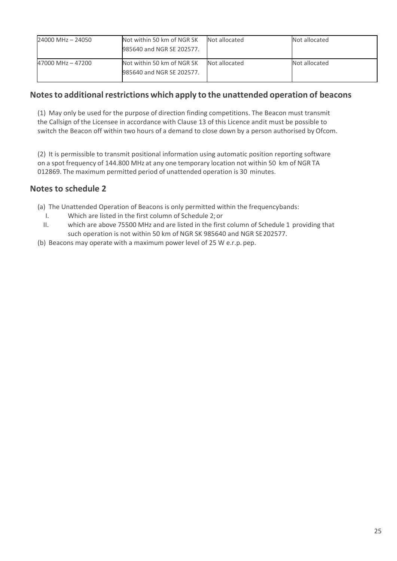| 24000 MHz - 24050 | Not within 50 km of NGR SK<br>985640 and NGR SE 202577. | Not allocated | Not allocated |
|-------------------|---------------------------------------------------------|---------------|---------------|
| 47000 MHz - 47200 | Not within 50 km of NGR SK<br>985640 and NGR SE 202577. | Not allocated | Not allocated |

#### **Notesto additionalrestrictions which apply to the unattended operation of beacons**

(1) May only be used for the purpose of direction finding competitions. The Beacon must transmit the Callsign of the Licensee in accordance with Clause 13 of this Licence andit must be possible to switch the Beacon off within two hours of a demand to close down by a person authorised by Ofcom.

(2) It is permissible to transmit positional information using automatic position reporting software on a spot frequency of 144.800 MHz at any one temporary location not within 50 km of NGR TA 012869. The maximum permitted period of unattended operation is 30 minutes.

### **Notes to schedule 2**

- (a) The Unattended Operation of Beacons is only permitted within the frequencybands:
	- I. Which are listed in the first column of Schedule 2;or
	- II. which are above 75500 MHz and are listed in the first column of Schedule 1 providing that such operation is not within 50 km of NGR SK 985640 and NGR SE202577.
- (b) Beacons may operate with a maximum power level of 25 W e.r.p. pep.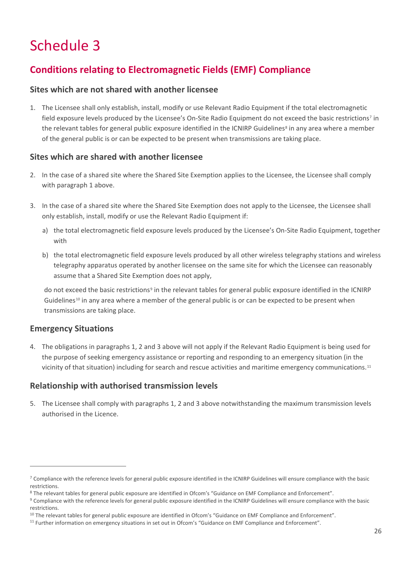# Schedule 3

# **Conditions relating to Electromagnetic Fields (EMF) Compliance**

#### **Sites which are not shared with another licensee**

1. The Licensee shall only establish, install, modify or use Relevant Radio Equipment if the total electromagnetic field exposure levels produced by the Licensee's On-Site Radio Equipment do not exceed the basic restrictions<sup>[7](#page-26-0)</sup> in the relevant tables for general public exposure identified in the ICNIRP Guidelines<sup>[8](#page-26-1)</sup> in any area where a member of the general public is or can be expected to be present when transmissions are taking place.

### **Sites which are shared with another licensee**

- 2. In the case of a shared site where the Shared Site Exemption applies to the Licensee, the Licensee shall comply with paragraph 1 above.
- 3. In the case of a shared site where the Shared Site Exemption does not apply to the Licensee, the Licensee shall only establish, install, modify or use the Relevant Radio Equipment if:
	- a) the total electromagnetic field exposure levels produced by the Licensee's On-Site Radio Equipment, together with
	- b) the total electromagnetic field exposure levels produced by all other wireless telegraphy stations and wireless telegraphy apparatus operated by another licensee on the same site for which the Licensee can reasonably assume that a Shared Site Exemption does not apply,

do not exceed the basic restrictions<sup>[9](#page-26-2)</sup> in the relevant tables for general public exposure identified in the ICNIRP Guidelines<sup>[10](#page-26-3)</sup> in any area where a member of the general public is or can be expected to be present when transmissions are taking place.

### **Emergency Situations**

4. The obligations in paragraphs 1, 2 and 3 above will not apply if the Relevant Radio Equipment is being used for the purpose of seeking emergency assistance or reporting and responding to an emergency situation (in the vicinity of that situation) including for search and rescue activities and maritime emergency communications.<sup>[11](#page-26-4)</sup>

### **Relationship with authorised transmission levels**

5. The Licensee shall comply with paragraphs 1, 2 and 3 above notwithstanding the maximum transmission levels authorised in the Licence.

<span id="page-26-0"></span> $7$  Compliance with the reference levels for general public exposure identified in the ICNIRP Guidelines will ensure compliance with the basic restrictions.

<span id="page-26-1"></span><sup>8</sup> The relevant tables for general public exposure are identified in Ofcom's "Guidance on EMF Compliance and Enforcement".

<span id="page-26-2"></span><sup>&</sup>lt;sup>9</sup> Compliance with the reference levels for general public exposure identified in the ICNIRP Guidelines will ensure compliance with the basic restrictions.

<span id="page-26-3"></span><sup>&</sup>lt;sup>10</sup> The relevant tables for general public exposure are identified in Ofcom's "Guidance on EMF Compliance and Enforcement".

<span id="page-26-4"></span><sup>&</sup>lt;sup>11</sup> Further information on emergency situations in set out in Ofcom's "Guidance on EMF Compliance and Enforcement".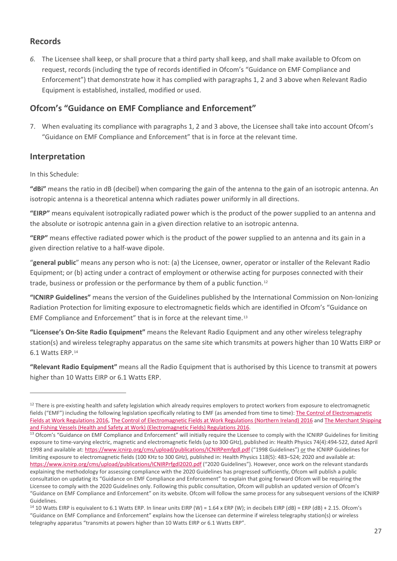### **Records**

*6.* The Licensee shall keep, or shall procure that a third party shall keep, and shall make available to Ofcom on request, records (including the type of records identified in Ofcom's "Guidance on EMF Compliance and Enforcement") that demonstrate how it has complied with paragraphs 1, 2 and 3 above when Relevant Radio Equipment is established, installed, modified or used.

### **Ofcom's "Guidance on EMF Compliance and Enforcement"**

7. When evaluating its compliance with paragraphs 1, 2 and 3 above, the Licensee shall take into account Ofcom's "Guidance on EMF Compliance and Enforcement" that is in force at the relevant time.

### **Interpretation**

In this Schedule:

**"dBi"** means the ratio in dB (decibel) when comparing the gain of the antenna to the gain of an isotropic antenna. An isotropic antenna is a theoretical antenna which radiates power uniformly in all directions.

**"EIRP"** means equivalent isotropically radiated power which is the product of the power supplied to an antenna and the absolute or isotropic antenna gain in a given direction relative to an isotropic antenna.

**"ERP"** means effective radiated power which is the product of the power supplied to an antenna and its gain in a given direction relative to a half-wave dipole.

"**general public**" means any person who is not: (a) the Licensee, owner, operator or installer of the Relevant Radio Equipment; or (b) acting under a contract of employment or otherwise acting for purposes connected with their trade, business or profession or the performance by them of a public function.<sup>[12](#page-27-0)</sup>

**"ICNIRP Guidelines"** means the version of the Guidelines published by the International Commission on Non-Ionizing Radiation Protection for limiting exposure to electromagnetic fields which are identified in Ofcom's "Guidance on EMF Compliance and Enforcement" that is in force at the relevant time.[13](#page-27-1)

**"Licensee's On-Site Radio Equipment"** means the Relevant Radio Equipment and any other wireless telegraphy station(s) and wireless telegraphy apparatus on the same site which transmits at powers higher than 10 Watts EIRP or 6.1 Watts ERP.[14](#page-27-2)

**"Relevant Radio Equipment"** means all the Radio Equipment that is authorised by this Licence to transmit at powers higher than 10 Watts EIRP or 6.1 Watts ERP.

<span id="page-27-0"></span> $12$  There is pre-existing health and safety legislation which already requires employers to protect workers from exposure to electromagnetic fields ("EMF") including the following legislation specifically relating to EMF (as amended from time to time): [The Control of Electromagnetic](https://www.legislation.gov.uk/uksi/2016/588/pdfs/uksi_20160588_en.pdf)  [Fields at Work Regulations 2016,](https://www.legislation.gov.uk/uksi/2016/588/pdfs/uksi_20160588_en.pdf) [The Control of Electromagnetic Fields at Work Regulations \(Northern Ireland\) 2016](https://www.legislation.gov.uk/nisr/2016/266/contents/made) an[d The Merchant Shipping](https://www.legislation.gov.uk/uksi/2016/1026/contents/made)  [and Fishing Vessels \(Health and Safety at Work\) \(Electromagnetic Fields\) Regulations 2016.](https://www.legislation.gov.uk/uksi/2016/1026/contents/made)

<span id="page-27-1"></span><sup>&</sup>lt;sup>13</sup> Ofcom's "Guidance on EMF Compliance and Enforcement" will initially require the Licensee to comply with the ICNIRP Guidelines for limiting exposure to time-varying electric, magnetic and electromagnetic fields (up to 300 GHz), published in: Health Physics 74(4):494-522, dated April 1998 and available at[: https://www.icnirp.org/cms/upload/publications/ICNIRPemfgdl.pdf](https://www.icnirp.org/cms/upload/publications/ICNIRPemfgdl.pdf) ("1998 Guidelines") or the ICNIRP Guidelines for limiting exposure to electromagnetic fields (100 KHz to 300 GHz), published in: Health Physics 118(5): 483–524; 2020 and available at: <https://www.icnirp.org/cms/upload/publications/ICNIRPrfgdl2020.pdf> ("2020 Guidelines"). However, once work on the relevant standards explaining the methodology for assessing compliance with the 2020 Guidelines has progressed sufficiently, Ofcom will publish a public consultation on updating its "Guidance on EMF Compliance and Enforcement" to explain that going forward Ofcom will be requiring the Licensee to comply with the 2020 Guidelines only. Following this public consultation, Ofcom will publish an updated version of Ofcom's "Guidance on EMF Compliance and Enforcement" on its website. Ofcom will follow the same process for any subsequent versions of the ICNIRP Guidelines.

<span id="page-27-2"></span><sup>&</sup>lt;sup>14</sup> 10 Watts EIRP is equivalent to 6.1 Watts ERP. In linear units EIRP (W) = 1.64 x ERP (W); in decibels EIRP (dB) = ERP (dB) + 2.15. Ofcom's "Guidance on EMF Compliance and Enforcement" explains how the Licensee can determine if wireless telegraphy station(s) or wireless telegraphy apparatus "transmits at powers higher than 10 Watts EIRP or 6.1 Watts ERP".